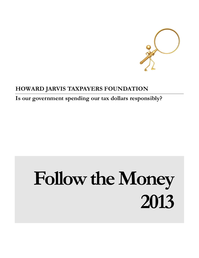

## **HOWARD JARVIS TAXPAYERS FOUNDATION**

**Is our government spending our tax dollars responsibly?**

# **Follow the Money 2013**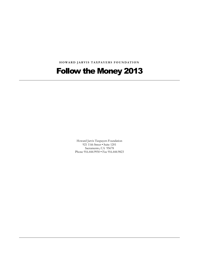**H O W A R D J A R V I S T A X P A Y E R S F O U N D A T I O N**

# Follow the Money 2013

Howard Jarvis Taxpayers Foundation 921 11th Street • Suite 1201 Sacramento, CA 95678 Phone 916.444.9950 • Fax 916.444.9823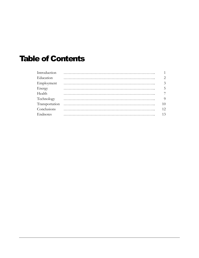# Table of Contents

| Introduction | $\overline{1}$ |
|--------------|----------------|
| Education    | 2              |
| Employment   | $\overline{3}$ |
| Energy       | 5              |
| Health       | 7              |
| Technology   | -9             |
|              | 10             |
| Conclusions  | 12             |
| Endnotes     | 13             |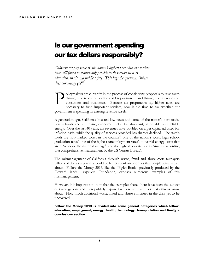## Is our government spending our tax dollars responsibly?

*Californians pay some of the nation's highest taxes but our leaders have still failed to competently provide basic services such as education, roads and public safety. This begs the question: "where does our money go?"*

olicymakers are currently in the process of considering proposals to raise taxes through the repeal of portions of Proposition 13 and through tax increases on consumers and businesses. Because tax proponents say higher taxes are necessary to fund important services, now is the time to ask whether our government is spending its existing revenue wisely. P

A generation ago, California boasted low taxes and some of the nation's best roads, best schools and a thriving economy fueled by abundant, affordable and reliable energy. Over the last 40 years, tax revenues have doubled on a per capita, adjusted for inflation basis<sup>1</sup> while the quality of services provided has sharply declined. The state's roads are now ranked worst in the country<sup>2</sup>, one of the nation's worst high school graduation rates<sup>3</sup>, one of the highest unemployment rates<sup>4</sup>, industrial energy costs that are  $50\%$  above the national average<sup>5</sup>, and the highest poverty rate in America according to a comprehensive measurement by the US Census Bureau<sup>6</sup>.

The mismanagement of California through waste, fraud and abuse costs taxpayers billions of dollars a year that could be better spent on priorities that people actually care about. Follow the Money 2013, like the "Piglet Book" previously produced by the Howard Jarvis Taxpayers Foundation, exposes numerous examples of this mismanagement.

However, it is important to note that the examples shared here have been the subject of investigations and then publicly exposed – these are examples that citizens know about. How much additional waste, fraud and abuse continues in the dark yet to be uncovered?

Follow the Money 2013 is divided into some general categories which follow: education, employment, energy, health, technology, transportation and finally a conclusions section.

1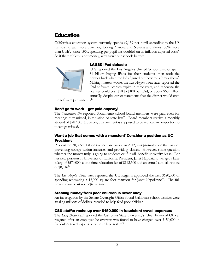## Education

California's education system currently spends \$9,139 per pupil according to the US Census Bureau, more than neighboring Arizona and Nevada and almost 50% more than Utah<sup>7</sup>. Since 1970, spending per pupil has doubled on an inflation adjusted basis<sup>8</sup>. So if the problem is not money, why aren't our schools better?

## LAUSD iPad debacle



CBS reported the Los Angeles Unified School District spent \$1 billion buying iPads for their students, then took the devices back when the kids figured out how to jailbreak them<sup>9</sup>. Making matters worse, the *Los Angeles Times* later reported the iPad software licenses expire in three years, and renewing the licenses could cost \$50 to \$100 per iPad, or about \$60 million annually, despite earlier statements that the district would own

the software permanently<sup>10</sup>.

## Don't go to work – get paid anyway!

The *Sacramento Bee* reported Sacramento school board members were paid even for meetings they missed, in violation of state law<sup>11</sup>. Board members receive a monthly stipend of \$787.50. However, this payment is supposed to be reduced in proportion to meetings missed.

## Want a job that comes with a mansion? Consider a position as UC President

Proposition 30, a \$50 billion tax increase passed in 2012, was promoted on the basis of preventing college tuition increases and providing classes. However, some question whether the money truly is going to students or if it will benefit university brass. For her new position as University of California President, Janet Napolitano will get a base salary of \$570,000, a one-time relocation fee of \$142,500 and an annual auto allowance of  $$8,916^{12}$ .

The *Los Angeles Times* later reported the UC Regents approved the first \$620,000 of spending renovating a 13,000 square foot mansion for Janet Napolitano<sup>13</sup>. The full project could cost up to \$6 million.

## Stealing money from poor children is never okay

An investigation by the Senate Oversight Office found California school districts were stealing millions of dollars intended to help feed poor children<sup>14</sup>.

## CSU staffer racks up over \$150,000 in fraudulent travel expenses

The *Long Beach Post* reported the California State University's Chief Financial Officer resigned after an employee he oversaw was found to have charged over \$150,000 in fraudulent travel expenses to the college system<sup>15</sup>.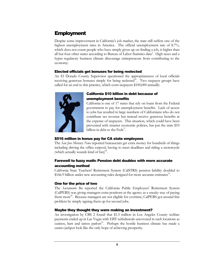## **Employment**

Despite some improvement in California's job market, the state still suffers one of the highest unemployment rates in America. The official unemployment rate of 8.7%, which does not count people who have simply given up on finding a job, is higher than all but four other states according to Bureau of Labor Statistics data<sup>4</sup>. High taxes and a hyper regulatory business climate discourage entrepreneurs from contributing to the economy.

## Elected officials get bonuses for being reelected

An El Dorado County Supervisor questioned the appropriateness of local officials receiving generous bonuses simply for being reelected<sup>16</sup>. Two taxpayer groups have called for an end to this practice, which costs taxpayers \$100,000 annually.



## California \$10 billion in debt because of unemployment benefits

California is one of 17 states that rely on loans from the Federal government to pay for unemployment benefits. Lack of access to jobs has resulted in large numbers of Californians who do not contribute tax revenue but instead receive generous benefits at the expense of taxpayers. This situation, which could have been prevented with smarter economic policies, has put the state \$10 billion in debt to the  $\text{Feds}^{17}$ .

## \$516 million in bonus pay for CA state employees

The *San Jose Mercury News* reported bureaucrats get extra money for hundreds of things including driving the office carpool, having to meet deadlines and riding a motorcycle (which actually sounds kind of fun)<sup>18</sup>.

## Farewell to fuzzy math: Pension debt doubles with more accurate accounting method

California State Teachers' Retirement System (CalSTRS) pension liability doubled to \$166.9 billion under new accounting rules designed for more accurate estimates<sup>19</sup>.

## One for the price of two

The *Sacramento Bee* reported the California Public Employees' Retirement System (CalPERS) was giving managers extra positions at the agency as a sneaky way of paying them more<sup>20</sup>. Because managers are not eligible for overtime, CalPERS got around this problem by simply signing them up for second jobs.

## Maybe they thought they were making an investment?

An investigation by CBS 2 found that \$1.5 million in Los Angeles County welfare payments ended up in Las Vegas with EBT withdrawals uncovered in such locations as casinos, bars and tattoo parlors<sup>21</sup>. Perhaps the hostile business climate has made a casino jackpot look like the only hope of achieving prosperity.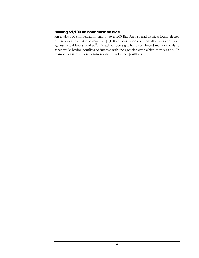## Making \$1,100 an hour must be nice

An analysis of compensation paid by over 200 Bay Area special districts found elected officials were receiving as much as \$1,100 an hour when compensation was compared against actual hours worked<sup>22</sup>. A lack of oversight has also allowed many officials to serve while having conflicts of interest with the agencies over which they preside. In many other states, these commissions are volunteer positions.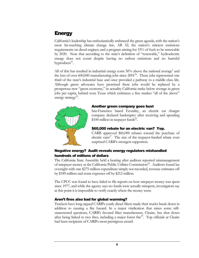## **Energy**

California's leadership has enthusiastically embraced the green agenda, with the nation's most far-reaching climate change law, AB 32; the nation's strictest emissions requirements on diesel engines; and a program aiming for 33% of fuels to be renewable by 2020. Note that according to the state's definition of "renewable," hydroelectric energy does not count despite having no carbon emissions and no harmful byproducts<sup>23</sup>.

All of this has resulted in industrial energy costs  $50\%$  above the national average<sup>5</sup> and the loss of over  $600,000$  manufacturing jobs since  $2001<sup>24</sup>$ . These jobs represented one third of the state's industrial base and once provided a pathway to a middle class life. Although green advocates have promised these jobs would be replaced by a prosperous new "green economy," in actuality California ranks below average in green jobs per capita, behind even Texas which embraces a free market "all of the above" energy strategy<sup>25</sup>.



#### Another green company goes bust

San-Francisco based Ecotality, an electric car charger company declared bankruptcy after receiving and spending \$100 million in taxpayer funds<sup>26</sup>.

## \$60,000 rebate for an electric van? Yep.

CARB approved \$60,000 rebates toward the purchase of electric vans<sup>27</sup>. The size of the taxpayer-funded rebate even surprised CARB's strongest supporters.

## Negative energy? Audit reveals energy regulators mishandled hundreds of millions of dollars

The California State Assembly held a hearing after auditors reported mismanagement of ratepayer money at the California Public Utilities Commission<sup>28</sup>. Auditors found lax oversight with one \$275 million expenditure simply not recorded, revenue estimates off by \$189 million and some expenses off by \$212 million.

The CPUC was found to have failed to file reports on how ratepayer money was spent since 1977, and while the agency says no funds were actually misspent, investigators say at this point it is impossible to verify exactly where the money went.

## Aren't fires also bad for global warming?

Truckers have long argued CARB's costly diesel filters made their trucks break down in addition to causing a fire hazard. In a major vindication that raises some stillunanswered questions, CARB's favored filter manufacturer, Cleaire, has shut down after being linked to two fires, including a major forest fire $2^2$ . Top officials at Cleaire had been recipients of CARB's most prestigious award.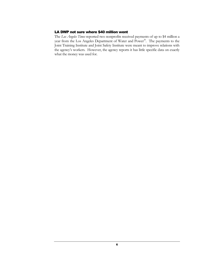## LA DWP not sure where \$40 million went

The *Los Angeles Times* reported two nonprofits received payments of up to \$4 million a year from the Los Angeles Department of Water and Power<sup>30</sup>. The payments to the Joint Training Institute and Joint Safety Institute were meant to improve relations with the agency's workers. However, the agency reports it has little specific data on exactly what the money was used for.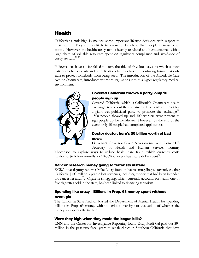## **Health**

Californians rank high in making some important lifestyle decisions with respect to their health. They are less likely to smoke or be obese than people in most other states<sup>3</sup>. However, the healthcare system is heavily regulated and bureaucratized with a large share of valuable resources spent on regulatory compliance and avoidance of costly lawsuits<sup>31, 32</sup>.

Policymakers have so far failed to stem the tide of frivolous lawsuits which subject patients to higher costs and complications from delays and confusing forms that only exist to protect somebody from being sued. The introduction of the Affordable Care Act, or Obamacare, introduces yet more regulations into this hyper regulatory medical environment.



## Covered California throws a party, only 10 people sign up

Covered California, which is California's Obamacare health exchange, rented out the Sacramento Convention Center for a giant well-publicized party to promote the exchange<sup>33</sup>. 1500 people showed up and 300 workers were present to sign people up for healthcare. However, by the end of the event, only 10 people had completed applications.

## Doctor doctor, here's \$6 billion worth of bad news

Lieutenant Governor Gavin Newsom met with former US Secretary of Health and Human Services Tommy

Thompson to explore ways to reduce health care fraud, which currently costs California \$6 billion annually, or 10-30% of every healthcare dollar spent<sup>34</sup>.

## Cancer research money going to terrorists instead

KCRA investigatory reporter Mike Luery found tobacco smuggling is currently costing California \$300 million a year in lost revenues, including money that had been intended for cancer research<sup>35</sup>. Cigarette smuggling, which currently accounts for nearly one in five cigarettes sold in the state, has been linked to financing terrorism.

## Spending like crazy – Billions in Prop. 63 money spent without oversight

The California State Auditor blasted the Department of Mental Health for spending billions in Prop. 63 money with no serious oversight or evaluation of whether the money was spent effectively<sup>36</sup>.

## Were they high when they made the bogus bills?

CNN and the Center for Investigative Reporting found Drug Medi-Cal paid out \$94 million in the past two fiscal years to rehab clinics in Southern California that have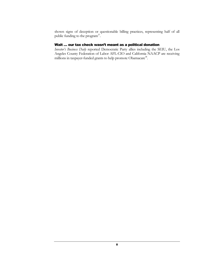shown signs of deception or questionable billing practices, representing half of all public funding to the program $37$ .

## Wait … our tax check wasn't meant as a political donation

*Investor's Business Daily* reported Democratic Party allies including the SEIU, the Los Angeles County Federation of Labor AFL-CIO and California NAACP are receiving millions in taxpayer-funded grants to help promote Obamacare<sup>38</sup>.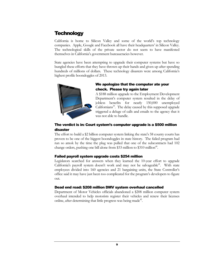## **Technology**

California is home to Silicon Valley and some of the world's top technology companies. Apple, Google and Facebook all have their headquarters' in Silicon Valley. The technological skills of the private sector do not seem to have manifested themselves in California's government bureaucracies however.

State agencies have been attempting to upgrade their computer systems but have so bungled these efforts that they have thrown up their hands and given up after spending hundreds of millions of dollars. These technology disasters were among California's highest profile boondoggles of 2013.



## We apologize that the computer ate your check. Please try again later

A \$188 million upgrade to the Employment Development Department's computer system resulted in the delay of jobless benefits for nearly 150,000 unemployed  $Californians<sup>39</sup>$ . The delay caused by this supposed upgrade triggered a deluge of calls and emails to the agency that it was not able to handle.

## The verdict is in: Court system's computer upgrade is a \$500 million disaster

The effort to build a \$2 billion computer system linking the state's 58 county courts has proven to be one of the biggest boondoggles in state history. The failed program had run so amok by the time the plug was pulled that one of the subcontracts had 102 change orders, pushing one bill alone from \$33 million to \$310 million<sup>40</sup>.

## Failed payroll system upgrade costs \$254 million

Legislators searched for answers when they learned the 10-year effort to upgrade California's payroll system doesn't work and may not be salvageable<sup>41</sup>. With state employees divided into 160 agencies and 21 bargaining units, the State Controller's office said it may have just been too complicated for the program's developers to figure out.

## Dead end road: \$208 million DMV system overhaul cancelled

Department of Motor Vehicles officials abandoned a \$208 million computer system overhaul intended to help motorists register their vehicles and renew their licenses online, after determining that little progress was being made<sup>42</sup>.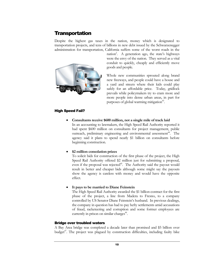## **Transportation**

Despite the highest gas taxes in the nation, money which is designated to transportation projects, and tens of billions in new debt issued by the Schwarzenegger administration for transportation, California suffers some of the worst roads in the



nation<sup>2</sup>. A generation ago, the state's highways were the envy of the nation. They served as a vital conduit to quickly, cheaply and efficiently move goods and people.

Whole new communities sprouted along brand new freeways, and people could have a house and a yard and streets where their kids could play safely for an affordable price. Today, gridlock prevails while policymakers try to cram more and more people into dense urban areas, in part for purposes of global warming mitigation<sup>43</sup>.

## High Speed Fail?

**Consultants receive \$600 million, not a single mile of track laid**

In an accounting to lawmakers, the High Speed Rail Authority reported it had spent \$600 million on consultants for project management, public outreach, preliminary engineering and environmental assessment<sup>44</sup>. The agency said it plans to spend nearly \$1 billion on consultants before beginning construction.

#### **\$2 million consolation prizes**

To solicit bids for construction of the first phase of the project, the High Speed Rail Authority offered \$2 million just for submitting a proposal, even if the proposal was rejected<sup>45</sup>. The Authority said the payout would result in better and cheaper bids although some might say the payouts show the agency is careless with money and would have the opposite effect.

#### **It pays to be married to Diane Feinstein**

The High Speed Rail Authority awarded the \$1 billion contract for the first phase of the project, a line from Madera to Fresno, to a company controlled by US Senator Diane Feinstein's husband. In previous dealings, the company in question has had to pay hefty settlements amid accusations of fraud, racketeering and corruption and some former employees are currently in prison on similar charges<sup>46</sup>.

#### Bridge over troubled waters

A Bay Area bridge was completed a decade later than promised and \$5 billion over budget<sup>47</sup>. The project was plagued by construction difficulties, including faulty bike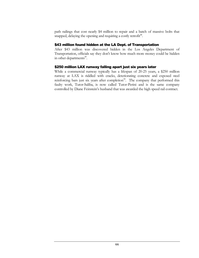path railings that cost nearly \$4 million to repair and a batch of massive bolts that snapped, delaying the opening and requiring a costly retrofit<sup>48</sup>.

#### \$43 million found hidden at the LA Dept. of Transportation

After \$43 million was discovered hidden in the Los Angeles Department of Transportation, officials say they don't know how much more money could be hidden in other departments<sup>49</sup>.

## \$250 million LAX runway falling apart just six years later

While a commercial runway typically has a lifespan of 20-25 years, a \$250 million runway at LAX is riddled with cracks, deteriorating concrete and exposed steel reinforcing bars just six years after completion<sup>50</sup>. The company that performed this faulty work, Tutor-Saliba, is now called Tutor-Perini and is the same company controlled by Diane Feinstein's husband that was awarded the high speed rail contract.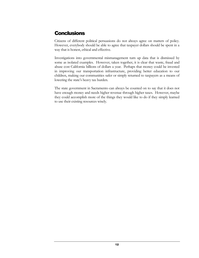## **Conclusions**

Citizens of different political persuasions do not always agree on matters of policy. However, everybody should be able to agree that taxpayer dollars should be spent in a way that is honest, ethical and effective.

Investigations into governmental mismanagement turn up data that is dismissed by some as isolated examples. However, taken together, it is clear that waste, fraud and abuse cost California billions of dollars a year. Perhaps that money could be invested in improving our transportation infrastructure, providing better education to our children, making our communities safer or simply returned to taxpayers as a means of lowering the state's heavy tax burden.

The state government in Sacramento can always be counted on to say that it does not have enough money and needs higher revenue through higher taxes. However, maybe they could accomplish more of the things they would like to do if they simply learned to use their existing resources wisely.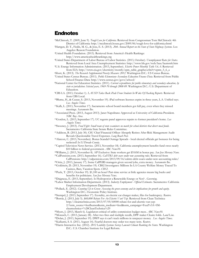## **Endnotes**

<sup>1</sup>McClintock, T. (2009, June 9). *Tough Love for California.* Retrieved from Congressman Tom McClintock: 4th District of California: http://mcclintock.house.gov/2009/06/tough-love-for-california.shtml

<sup>2</sup>Hartgen, D. T., Fields, M. G., & Jose, E. S. (2013). *20th Annual Report on the State of State Highway Systems.* Los Angeles: Reason Foundation.

<sup>3</sup>United Health Foundation. (2013). Retrieved from America's Health Rankings: http://www.americashealthrankings.org

<sup>4</sup>United States Department of Labor Bureau of Labor Statistics. (2013, October). *Unemployment Rates for States*. Retrieved from Local Area Unemployment Statistics: http://www.bls.gov/web/laus/laumstrk.htm

<sup>5</sup>U.S. Energy Information Administration. (2013, September). *Electric Power Monthly Table 5.6.A.* Retrieved from EIA: http://www.eia.gov/electricity/montly/epm\_table\_grapher.cfm?t=epmt\_5\_6\_a

<sup>6</sup>Short, K. (2013). *The Research Supplemental Poverty Measure: 2012.* Washington D.C.: US Census Bureau. <sup>7</sup>United States Census Bureau. (2011). *Public Elementary–Secondary Education Finance Data*. Retrieved from Public

School Finance Data: http://www.census.gov/govs/school/

<sup>8</sup>National Center for Education Statistics. (2011). *Current expenditures for public elementary and secondary education, by state or jurisdiction: Selected years, 1969-70 through 2008-09.* Washington D.C.: U.S. Department of Education.

<sup>9</sup>CBS LA. (2013, October 1). *LAUSD Takes Back iPads From Students In Wake Of Hacking Reports.* Retrieved from CBS Local.

<sup>10</sup>Blume, H., & Ceasar, S. (2013, November 19). iPad software licenses expire in three years, L.A. Unified says. *Los Angeles Times*.

<sup>11</sup>Kalb, L. (2013, November 17). Sacramento school board members got full pay, even when they missed meetings. *Sacramento Bee*.

<sup>12</sup>Associated Press. (2013, August 2013). Janet Napolitano Approved as University of California President. *NBC Bay Area*.

<sup>13</sup>Gordon, L. (2013, September 17). UC regents panel approves repairs to former president's home. *Los Angeles Times*.

<sup>14</sup>Sweeney, J. (2013). *Food Fight: Small team of state examiners no match for school districts that divert meal funds.* Sacramento: California State Senate Rules Committee.

<sup>15</sup>Addison, B. (2013, July 30). CSU Chief Financial Officer Abruptly Retires After Risk Management Audit Reveals Questionable Travel Expenses. *Long Beach Post*.

<sup>16</sup>Alarcon, C. (2013, November). Bonus Scandal Outrage Spreads - local elected officials get bonuses for being reelected! *In El Dorado County*.

<sup>17</sup>Capitol Television News Service. (2013, November 18). California unemployment benefits fund owes nearly \$10 billion to federal government. *ABC News10*.

<sup>18</sup>Williams, J. (2013, November 8). AP Exclusive: State workers get \$516M in bonus pay. *San Jose Mercury News*. <sup>19</sup>CalPensions.com. (2013, September 16). *CalSTRS debt soars under new accounting rules.* Retrieved from

CalPensions: http://calpensions.com/2013/09/16/calstrs-debt-soars-under-new-accounting-rules/ <sup>20</sup>Ortiz, J. (2013, January 17). Some CalPERS managers given second jobs, extra money. *Sacramento Bee*.

<sup>21</sup>Goldstein, D. (2013, November 19). CBS2 Investigates: Millions In LA County Welfare Money Traced To Casinos, Bars, Vacation Spots. *CBS2*.

<sup>22</sup>Peele, T. (2013, October 19). \$1,100 an hour? Part-time service at little agencies means big bucks and benefits for politicians. *San Jose Mercury News*.

<sup>23</sup>Daigneau, E. (2013, September). Is Hydropower a Renewable Energy or Not? . *Governing*.

<sup>24</sup>Labor Market Information Department. (2013). *Industry Employment - Official Estimates.* Sacramento: California Employment Development Department.

<sup>25</sup>Pollack, E. (2012). *Counting Up to Green: Assessing the green economy and its implications for growth and equity.* Washington D.C.: Economic Policy Institute.

<sup>26</sup>Stempel, J. (2013, September 17). Ecotality, an electric car charger maker, files for bankruptcy. *Reuters*.

<sup>27</sup>Borrás, J. (2013, July 5). *\$60,000 Rebate For An Electric Van? Yep.* Retrieved from Clean Technica: http://cleantechnica.com/2013/07/05/60000-rebate-for-and-electric-van-yep-

2/?utm\_source=feedburner&utm\_medium=feed&utm\_campaign=Feed%3A+IMcleantechnica+%28CleanTechnica%29

<sup>28</sup>Myers, J. (2013, March 6). Legislators critical of utility commission budget mess. *ABC News10*.

<sup>29</sup>Morasch, C. (2013, January 28). After two fires and multiple recalls, DPF maker Cleaire folds. *Land Line*.

<sup>30</sup>Dolan, J. (2013, September 19). DWP says it can't track millions in ratepayer money . *Los Angeles Times*. <sup>31</sup>Kulkarni, S. S. (2013, August 14). Fearful doctors may order too many tests. *Reuters*.

<sup>32</sup>Harris Interactive Inc. (2012). *2012 Liability Systems Survey Lawsuit Climate Ranking the States.* Washington

D.C.: U.S. Chamber Institute for Legal Reform.